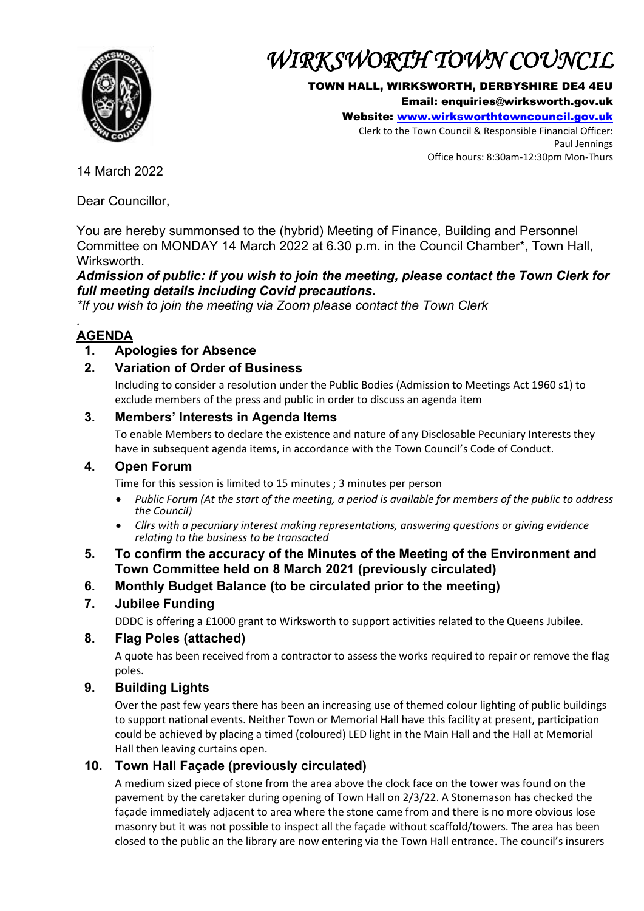

# *WIRKSWORTH TOWN COUNCIL*

### TOWN HALL, WIRKSWORTH, DERBYSHIRE DE4 4EU

Email: enquiries@wirksworth.gov.uk

Website: [www.wirksworthtowncouncil.gov.uk](http://www.wirksworthtowncouncil.gov.uk/)

Clerk to the Town Council & Responsible Financial Officer: Paul Jennings Office hours: 8:30am-12:30pm Mon-Thurs

14 March 2022

Dear Councillor,

You are hereby summonsed to the (hybrid) Meeting of Finance, Building and Personnel Committee on MONDAY 14 March 2022 at 6.30 p.m. in the Council Chamber\*, Town Hall, Wirksworth.

*Admission of public: If you wish to join the meeting, please contact the Town Clerk for full meeting details including Covid precautions.*

*\*If you wish to join the meeting via Zoom please contact the Town Clerk*

#### *.*  **AGENDA**

# **1. Apologies for Absence**

## **2. Variation of Order of Business**

Including to consider a resolution under the Public Bodies (Admission to Meetings Act 1960 s1) to exclude members of the press and public in order to discuss an agenda item

## **3. Members' Interests in Agenda Items**

To enable Members to declare the existence and nature of any Disclosable Pecuniary Interests they have in subsequent agenda items, in accordance with the Town Council's Code of Conduct.

### **4. Open Forum**

Time for this session is limited to 15 minutes ; 3 minutes per person

- *Public Forum (At the start of the meeting, a period is available for members of the public to address the Council)*
- *Cllrs with a pecuniary interest making representations, answering questions or giving evidence relating to the business to be transacted*

### **5. To confirm the accuracy of the Minutes of the Meeting of the Environment and Town Committee held on 8 March 2021 (previously circulated)**

**6. Monthly Budget Balance (to be circulated prior to the meeting)**

# **7. Jubilee Funding**

DDDC is offering a £1000 grant to Wirksworth to support activities related to the Queens Jubilee.

### **8. Flag Poles (attached)**

A quote has been received from a contractor to assess the works required to repair or remove the flag poles.

# **9. Building Lights**

Over the past few years there has been an increasing use of themed colour lighting of public buildings to support national events. Neither Town or Memorial Hall have this facility at present, participation could be achieved by placing a timed (coloured) LED light in the Main Hall and the Hall at Memorial Hall then leaving curtains open.

# **10. Town Hall Façade (previously circulated)**

A medium sized piece of stone from the area above the clock face on the tower was found on the pavement by the caretaker during opening of Town Hall on 2/3/22. A Stonemason has checked the façade immediately adjacent to area where the stone came from and there is no more obvious lose masonry but it was not possible to inspect all the façade without scaffold/towers. The area has been closed to the public an the library are now entering via the Town Hall entrance. The council's insurers